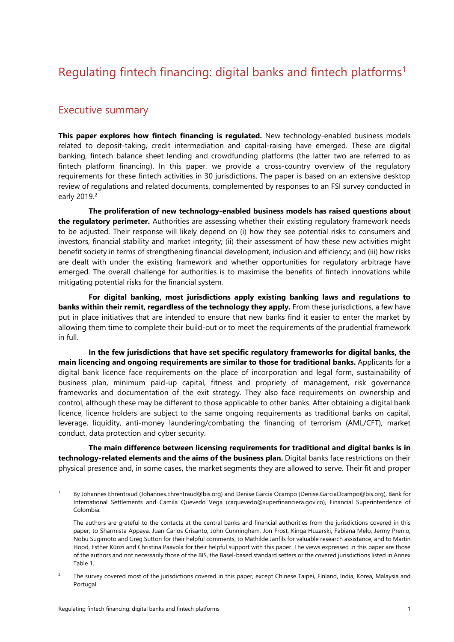## Regulating fintech financing: digital banks and fintech platforms<sup>1</sup>

## Executive summary

**This paper explores how fintech financing is regulated.** New technology-enabled business models related to deposit-taking, credit intermediation and capital-raising have emerged. These are digital banking, fintech balance sheet lending and crowdfunding platforms (the latter two are referred to as fintech platform financing). In this paper, we provide a cross-country overview of the regulatory requirements for these fintech activities in 30 jurisdictions. The paper is based on an extensive desktop review of regulations and related documents, complemented by responses to an FSI survey conducted in early 2019.<sup>2</sup>

**The proliferation of new technology-enabled business models has raised questions about the regulatory perimeter.** Authorities are assessing whether their existing regulatory framework needs to be adjusted. Their response will likely depend on (i) how they see potential risks to consumers and investors, financial stability and market integrity; (ii) their assessment of how these new activities might benefit society in terms of strengthening financial development, inclusion and efficiency; and (iii) how risks are dealt with under the existing framework and whether opportunities for regulatory arbitrage have emerged. The overall challenge for authorities is to maximise the benefits of fintech innovations while mitigating potential risks for the financial system.

**For digital banking, most jurisdictions apply existing banking laws and regulations to banks within their remit, regardless of the technology they apply.** From these jurisdictions, a few have put in place initiatives that are intended to ensure that new banks find it easier to enter the market by allowing them time to complete their build-out or to meet the requirements of the prudential framework in full.

**In the few jurisdictions that have set specific regulatory frameworks for digital banks, the main licencing and ongoing requirements are similar to those for traditional banks.** Applicants for a digital bank licence face requirements on the place of incorporation and legal form, sustainability of business plan, minimum paid-up capital, fitness and propriety of management, risk governance frameworks and documentation of the exit strategy. They also face requirements on ownership and control, although these may be different to those applicable to other banks. After obtaining a digital bank licence, licence holders are subject to the same ongoing requirements as traditional banks on capital, leverage, liquidity, anti-money laundering/combating the financing of terrorism (AML/CFT), market conduct, data protection and cyber security.

**The main difference between licensing requirements for traditional and digital banks is in technology-related elements and the aims of the business plan.** Digital banks face restrictions on their physical presence and, in some cases, the market segments they are allowed to serve. Their fit and proper

- 1 By Johannes Ehrentraud (Johannes.Ehrentraud@bis.org) and Denise Garcia Ocampo (Denise.GarciaOcampo@bis.org), Bank for International Settlements and Camila Quevedo Vega (caquevedo@superfinanciera.gov.co), Financial Superintendence of Colombia.
	- The authors are grateful to the contacts at the central banks and financial authorities from the jurisdictions covered in this paper; to Sharmista Appaya, Juan Carlos Crisanto, John Cunningham, Jon Frost, Kinga Huzarski, Fabiana Melo, Jermy Prenio, Nobu Sugimoto and Greg Sutton for their helpful comments; to Mathilde Janfils for valuable research assistance, and to Martin Hood, Esther Künzi and Christina Paavola for their helpful support with this paper. The views expressed in this paper are those of the authors and not necessarily those of the BIS, the Basel-based standard setters or the covered jurisdictions listed in Annex Table 1.
- $\overline{2}$  The survey covered most of the jurisdictions covered in this paper, except Chinese Taipei, Finland, India, Korea, Malaysia and Portugal.